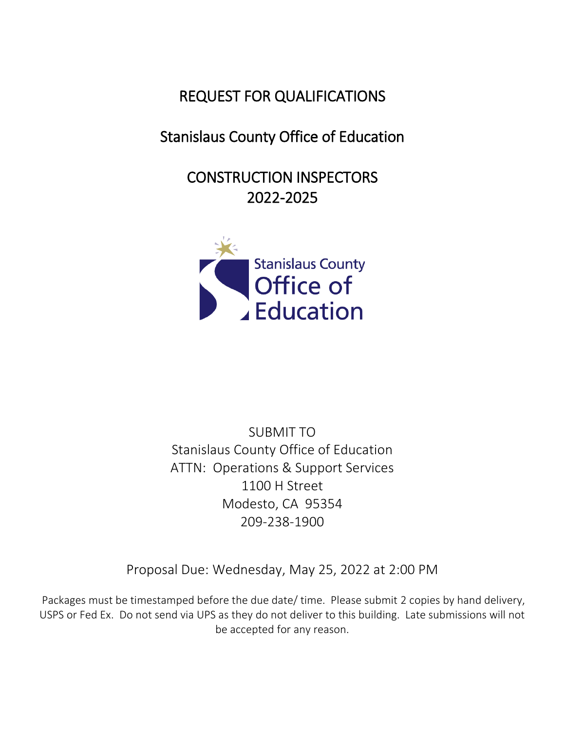## REQUEST FOR QUALIFICATIONS

# Stanislaus County Office of Education

CONSTRUCTION INSPECTORS 2022-2025



SUBMIT TO Stanislaus County Office of Education ATTN: Operations & Support Services 1100 H Street Modesto, CA 95354 209-238-1900

Proposal Due: Wednesday, May 25, 2022 at 2:00 PM

Packages must be timestamped before the due date/ time. Please submit 2 copies by hand delivery, USPS or Fed Ex. Do not send via UPS as they do not deliver to this building. Late submissions will not be accepted for any reason.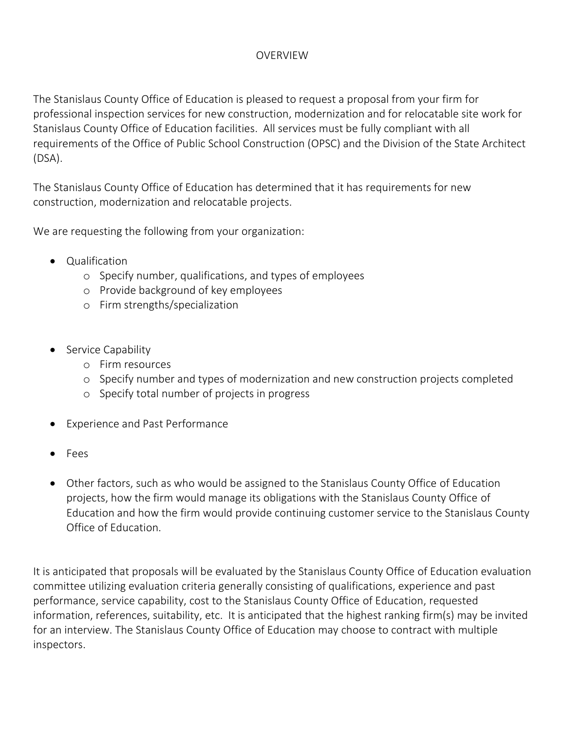### OVERVIEW

The Stanislaus County Office of Education is pleased to request a proposal from your firm for professional inspection services for new construction, modernization and for relocatable site work for Stanislaus County Office of Education facilities. All services must be fully compliant with all requirements of the Office of Public School Construction (OPSC) and the Division of the State Architect (DSA).

The Stanislaus County Office of Education has determined that it has requirements for new construction, modernization and relocatable projects.

We are requesting the following from your organization:

- Qualification
	- o Specify number, qualifications, and types of employees
	- o Provide background of key employees
	- o Firm strengths/specialization
- Service Capability
	- o Firm resources
	- o Specify number and types of modernization and new construction projects completed
	- o Specify total number of projects in progress
- Experience and Past Performance
- Fees
- Other factors, such as who would be assigned to the Stanislaus County Office of Education projects, how the firm would manage its obligations with the Stanislaus County Office of Education and how the firm would provide continuing customer service to the Stanislaus County Office of Education.

It is anticipated that proposals will be evaluated by the Stanislaus County Office of Education evaluation committee utilizing evaluation criteria generally consisting of qualifications, experience and past performance, service capability, cost to the Stanislaus County Office of Education, requested information, references, suitability, etc. It is anticipated that the highest ranking firm(s) may be invited for an interview. The Stanislaus County Office of Education may choose to contract with multiple inspectors.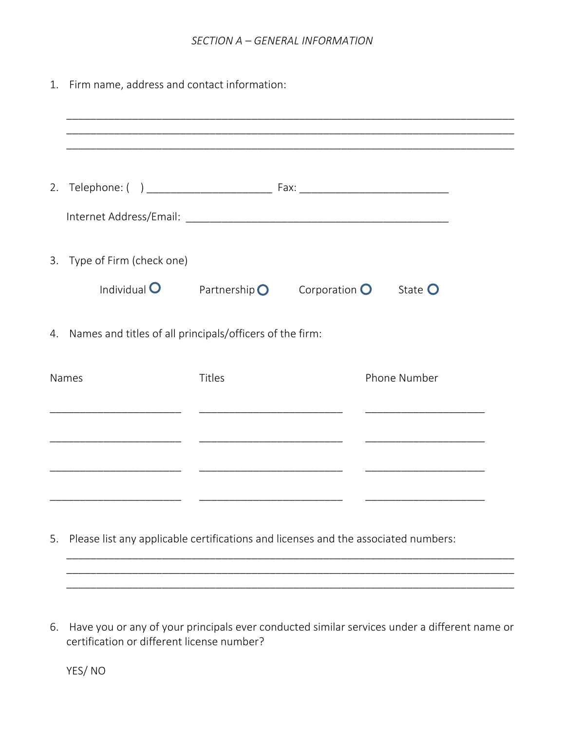#### *SECTION A – GENERAL INFORMATION*

1. Firm name, address and contact information:

| 3. Type of Firm (check one)<br>Individual $\bullet$         |        | Partnership $\bigcirc$ Corporation $\bigcirc$ State $\bigcirc$ |                                                                                                                                      |  |
|-------------------------------------------------------------|--------|----------------------------------------------------------------|--------------------------------------------------------------------------------------------------------------------------------------|--|
| 4. Names and titles of all principals/officers of the firm: |        |                                                                |                                                                                                                                      |  |
| Names                                                       | Titles |                                                                | Phone Number<br><u> 1990 - Johann John Harry Harry Harry Harry Harry Harry Harry Harry Harry Harry Harry Harry Harry Harry Harry</u> |  |
|                                                             |        |                                                                |                                                                                                                                      |  |
|                                                             |        |                                                                |                                                                                                                                      |  |

5. Please list any applicable certifications and licenses and the associated numbers:

6. Have you or any of your principals ever conducted similar services under a different name or certification or different license number?

\_\_\_\_\_\_\_\_\_\_\_\_\_\_\_\_\_\_\_\_\_\_\_\_\_\_\_\_\_\_\_\_\_\_\_\_\_\_\_\_\_\_\_\_\_\_\_\_\_\_\_\_\_\_\_\_\_\_\_\_\_\_\_\_\_\_\_\_\_\_\_\_\_\_\_ \_\_\_\_\_\_\_\_\_\_\_\_\_\_\_\_\_\_\_\_\_\_\_\_\_\_\_\_\_\_\_\_\_\_\_\_\_\_\_\_\_\_\_\_\_\_\_\_\_\_\_\_\_\_\_\_\_\_\_\_\_\_\_\_\_\_\_\_\_\_\_\_\_\_\_ \_\_\_\_\_\_\_\_\_\_\_\_\_\_\_\_\_\_\_\_\_\_\_\_\_\_\_\_\_\_\_\_\_\_\_\_\_\_\_\_\_\_\_\_\_\_\_\_\_\_\_\_\_\_\_\_\_\_\_\_\_\_\_\_\_\_\_\_\_\_\_\_\_\_\_

YES/ NO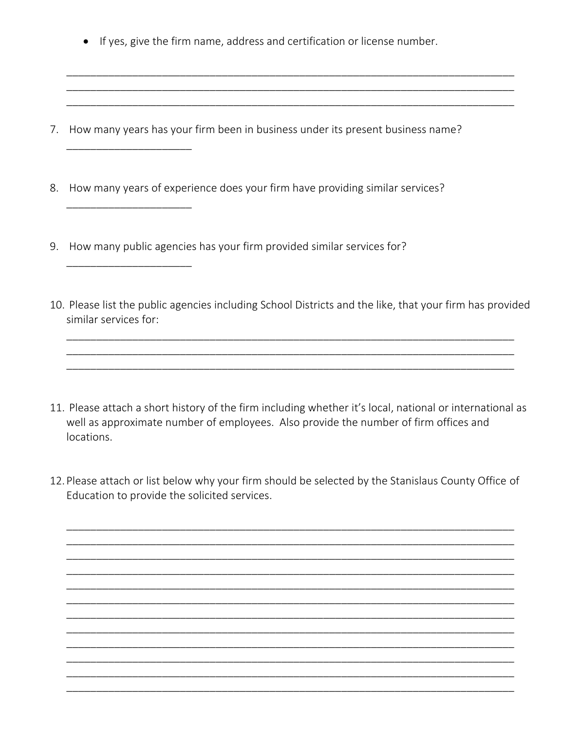If yes, give the firm name, address and certification or license number.

\_\_\_\_\_\_\_\_\_\_\_\_\_\_\_\_\_\_\_\_\_\_\_\_\_\_\_\_\_\_\_\_\_\_\_\_\_\_\_\_\_\_\_\_\_\_\_\_\_\_\_\_\_\_\_\_\_\_\_\_\_\_\_\_\_\_\_\_\_\_\_\_\_\_\_ \_\_\_\_\_\_\_\_\_\_\_\_\_\_\_\_\_\_\_\_\_\_\_\_\_\_\_\_\_\_\_\_\_\_\_\_\_\_\_\_\_\_\_\_\_\_\_\_\_\_\_\_\_\_\_\_\_\_\_\_\_\_\_\_\_\_\_\_\_\_\_\_\_\_\_ \_\_\_\_\_\_\_\_\_\_\_\_\_\_\_\_\_\_\_\_\_\_\_\_\_\_\_\_\_\_\_\_\_\_\_\_\_\_\_\_\_\_\_\_\_\_\_\_\_\_\_\_\_\_\_\_\_\_\_\_\_\_\_\_\_\_\_\_\_\_\_\_\_\_\_

- 7. How many years has your firm been in business under its present business name?
- 8. How many years of experience does your firm have providing similar services?
- 9. How many public agencies has your firm provided similar services for?

\_\_\_\_\_\_\_\_\_\_\_\_\_\_\_\_\_\_\_\_\_

\_\_\_\_\_\_\_\_\_\_\_\_\_\_\_\_\_\_\_\_\_

\_\_\_\_\_\_\_\_\_\_\_\_\_\_\_\_\_\_\_\_\_

10. Please list the public agencies including School Districts and the like, that your firm has provided similar services for:

\_\_\_\_\_\_\_\_\_\_\_\_\_\_\_\_\_\_\_\_\_\_\_\_\_\_\_\_\_\_\_\_\_\_\_\_\_\_\_\_\_\_\_\_\_\_\_\_\_\_\_\_\_\_\_\_\_\_\_\_\_\_\_\_\_\_\_\_\_\_\_\_\_\_\_ \_\_\_\_\_\_\_\_\_\_\_\_\_\_\_\_\_\_\_\_\_\_\_\_\_\_\_\_\_\_\_\_\_\_\_\_\_\_\_\_\_\_\_\_\_\_\_\_\_\_\_\_\_\_\_\_\_\_\_\_\_\_\_\_\_\_\_\_\_\_\_\_\_\_\_ \_\_\_\_\_\_\_\_\_\_\_\_\_\_\_\_\_\_\_\_\_\_\_\_\_\_\_\_\_\_\_\_\_\_\_\_\_\_\_\_\_\_\_\_\_\_\_\_\_\_\_\_\_\_\_\_\_\_\_\_\_\_\_\_\_\_\_\_\_\_\_\_\_\_\_

- 11. Please attach a short history of the firm including whether it's local, national or international as well as approximate number of employees. Also provide the number of firm offices and locations.
- 12. Please attach or list below why your firm should be selected by the Stanislaus County Office of Education to provide the solicited services.

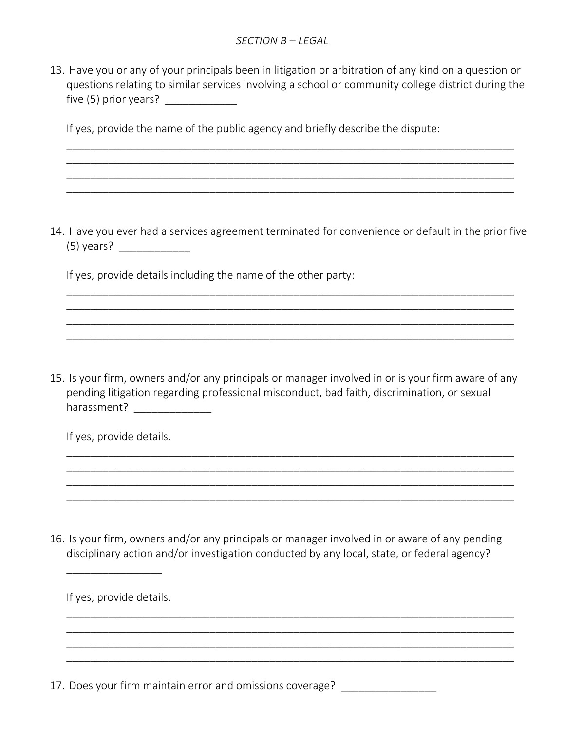13. Have you or any of your principals been in litigation or arbitration of any kind on a question or questions relating to similar services involving a school or community college district during the five (5) prior years?  $\frac{1}{2}$ 

\_\_\_\_\_\_\_\_\_\_\_\_\_\_\_\_\_\_\_\_\_\_\_\_\_\_\_\_\_\_\_\_\_\_\_\_\_\_\_\_\_\_\_\_\_\_\_\_\_\_\_\_\_\_\_\_\_\_\_\_\_\_\_\_\_\_\_\_\_\_\_\_\_\_\_ \_\_\_\_\_\_\_\_\_\_\_\_\_\_\_\_\_\_\_\_\_\_\_\_\_\_\_\_\_\_\_\_\_\_\_\_\_\_\_\_\_\_\_\_\_\_\_\_\_\_\_\_\_\_\_\_\_\_\_\_\_\_\_\_\_\_\_\_\_\_\_\_\_\_\_ \_\_\_\_\_\_\_\_\_\_\_\_\_\_\_\_\_\_\_\_\_\_\_\_\_\_\_\_\_\_\_\_\_\_\_\_\_\_\_\_\_\_\_\_\_\_\_\_\_\_\_\_\_\_\_\_\_\_\_\_\_\_\_\_\_\_\_\_\_\_\_\_\_\_\_ \_\_\_\_\_\_\_\_\_\_\_\_\_\_\_\_\_\_\_\_\_\_\_\_\_\_\_\_\_\_\_\_\_\_\_\_\_\_\_\_\_\_\_\_\_\_\_\_\_\_\_\_\_\_\_\_\_\_\_\_\_\_\_\_\_\_\_\_\_\_\_\_\_\_\_

If yes, provide the name of the public agency and briefly describe the dispute:

14. Have you ever had a services agreement terminated for convenience or default in the prior five (5) years? \_\_\_\_\_\_\_\_\_\_\_\_

\_\_\_\_\_\_\_\_\_\_\_\_\_\_\_\_\_\_\_\_\_\_\_\_\_\_\_\_\_\_\_\_\_\_\_\_\_\_\_\_\_\_\_\_\_\_\_\_\_\_\_\_\_\_\_\_\_\_\_\_\_\_\_\_\_\_\_\_\_\_\_\_\_\_\_ \_\_\_\_\_\_\_\_\_\_\_\_\_\_\_\_\_\_\_\_\_\_\_\_\_\_\_\_\_\_\_\_\_\_\_\_\_\_\_\_\_\_\_\_\_\_\_\_\_\_\_\_\_\_\_\_\_\_\_\_\_\_\_\_\_\_\_\_\_\_\_\_\_\_\_ \_\_\_\_\_\_\_\_\_\_\_\_\_\_\_\_\_\_\_\_\_\_\_\_\_\_\_\_\_\_\_\_\_\_\_\_\_\_\_\_\_\_\_\_\_\_\_\_\_\_\_\_\_\_\_\_\_\_\_\_\_\_\_\_\_\_\_\_\_\_\_\_\_\_\_ \_\_\_\_\_\_\_\_\_\_\_\_\_\_\_\_\_\_\_\_\_\_\_\_\_\_\_\_\_\_\_\_\_\_\_\_\_\_\_\_\_\_\_\_\_\_\_\_\_\_\_\_\_\_\_\_\_\_\_\_\_\_\_\_\_\_\_\_\_\_\_\_\_\_\_

If yes, provide details including the name of the other party:

15. Is your firm, owners and/or any principals or manager involved in or is your firm aware of any pending litigation regarding professional misconduct, bad faith, discrimination, or sexual harassment? \_\_\_\_\_\_\_\_\_\_\_\_\_\_\_\_\_

\_\_\_\_\_\_\_\_\_\_\_\_\_\_\_\_\_\_\_\_\_\_\_\_\_\_\_\_\_\_\_\_\_\_\_\_\_\_\_\_\_\_\_\_\_\_\_\_\_\_\_\_\_\_\_\_\_\_\_\_\_\_\_\_\_\_\_\_\_\_\_\_\_\_\_ \_\_\_\_\_\_\_\_\_\_\_\_\_\_\_\_\_\_\_\_\_\_\_\_\_\_\_\_\_\_\_\_\_\_\_\_\_\_\_\_\_\_\_\_\_\_\_\_\_\_\_\_\_\_\_\_\_\_\_\_\_\_\_\_\_\_\_\_\_\_\_\_\_\_\_ \_\_\_\_\_\_\_\_\_\_\_\_\_\_\_\_\_\_\_\_\_\_\_\_\_\_\_\_\_\_\_\_\_\_\_\_\_\_\_\_\_\_\_\_\_\_\_\_\_\_\_\_\_\_\_\_\_\_\_\_\_\_\_\_\_\_\_\_\_\_\_\_\_\_\_ \_\_\_\_\_\_\_\_\_\_\_\_\_\_\_\_\_\_\_\_\_\_\_\_\_\_\_\_\_\_\_\_\_\_\_\_\_\_\_\_\_\_\_\_\_\_\_\_\_\_\_\_\_\_\_\_\_\_\_\_\_\_\_\_\_\_\_\_\_\_\_\_\_\_\_

If yes, provide details.

16. Is your firm, owners and/or any principals or manager involved in or aware of any pending disciplinary action and/or investigation conducted by any local, state, or federal agency?

\_\_\_\_\_\_\_\_\_\_\_\_\_\_\_\_\_\_\_\_\_\_\_\_\_\_\_\_\_\_\_\_\_\_\_\_\_\_\_\_\_\_\_\_\_\_\_\_\_\_\_\_\_\_\_\_\_\_\_\_\_\_\_\_\_\_\_\_\_\_\_\_\_\_\_ \_\_\_\_\_\_\_\_\_\_\_\_\_\_\_\_\_\_\_\_\_\_\_\_\_\_\_\_\_\_\_\_\_\_\_\_\_\_\_\_\_\_\_\_\_\_\_\_\_\_\_\_\_\_\_\_\_\_\_\_\_\_\_\_\_\_\_\_\_\_\_\_\_\_\_ \_\_\_\_\_\_\_\_\_\_\_\_\_\_\_\_\_\_\_\_\_\_\_\_\_\_\_\_\_\_\_\_\_\_\_\_\_\_\_\_\_\_\_\_\_\_\_\_\_\_\_\_\_\_\_\_\_\_\_\_\_\_\_\_\_\_\_\_\_\_\_\_\_\_\_ \_\_\_\_\_\_\_\_\_\_\_\_\_\_\_\_\_\_\_\_\_\_\_\_\_\_\_\_\_\_\_\_\_\_\_\_\_\_\_\_\_\_\_\_\_\_\_\_\_\_\_\_\_\_\_\_\_\_\_\_\_\_\_\_\_\_\_\_\_\_\_\_\_\_\_

If yes, provide details.

\_\_\_\_\_\_\_\_\_\_\_\_\_\_\_\_

17. Does your firm maintain error and omissions coverage? \_\_\_\_\_\_\_\_\_\_\_\_\_\_\_\_\_\_\_\_\_\_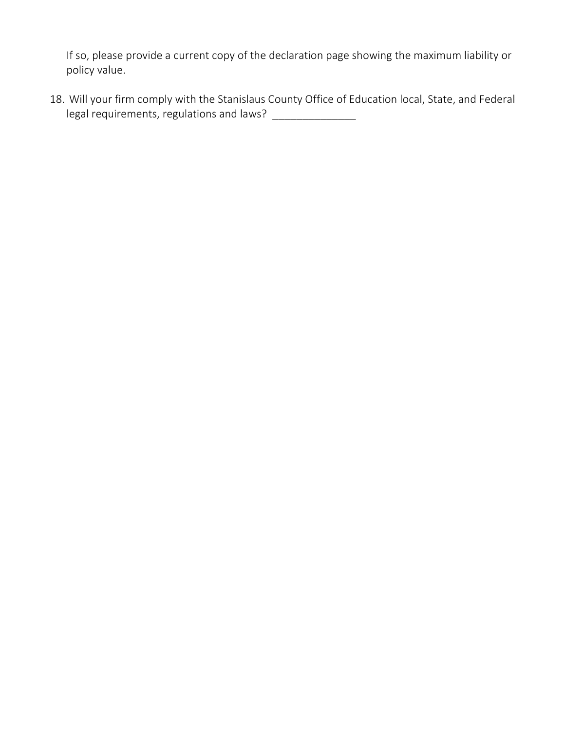If so, please provide a current copy of the declaration page showing the maximum liability or policy value.

18. Will your firm comply with the Stanislaus County Office of Education local, State, and Federal legal requirements, regulations and laws? \_\_\_\_\_\_\_\_\_\_\_\_\_\_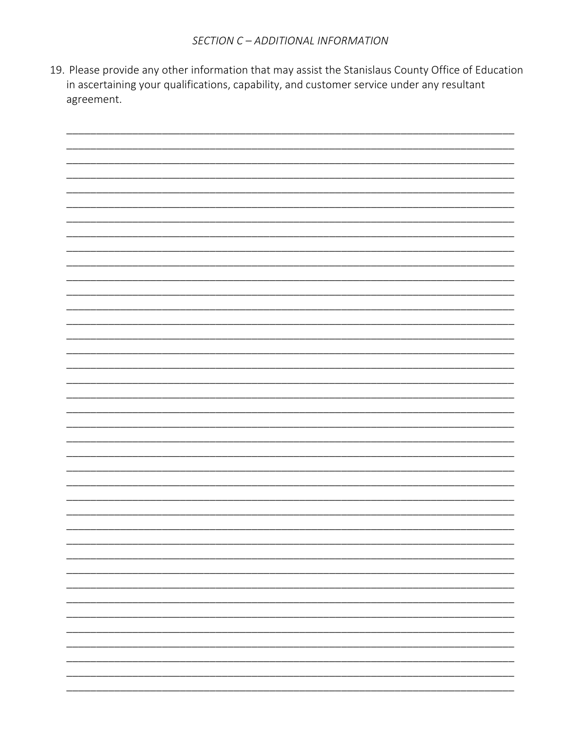19. Please provide any other information that may assist the Stanislaus County Office of Education in ascertaining your qualifications, capability, and customer service under any resultant agreement.